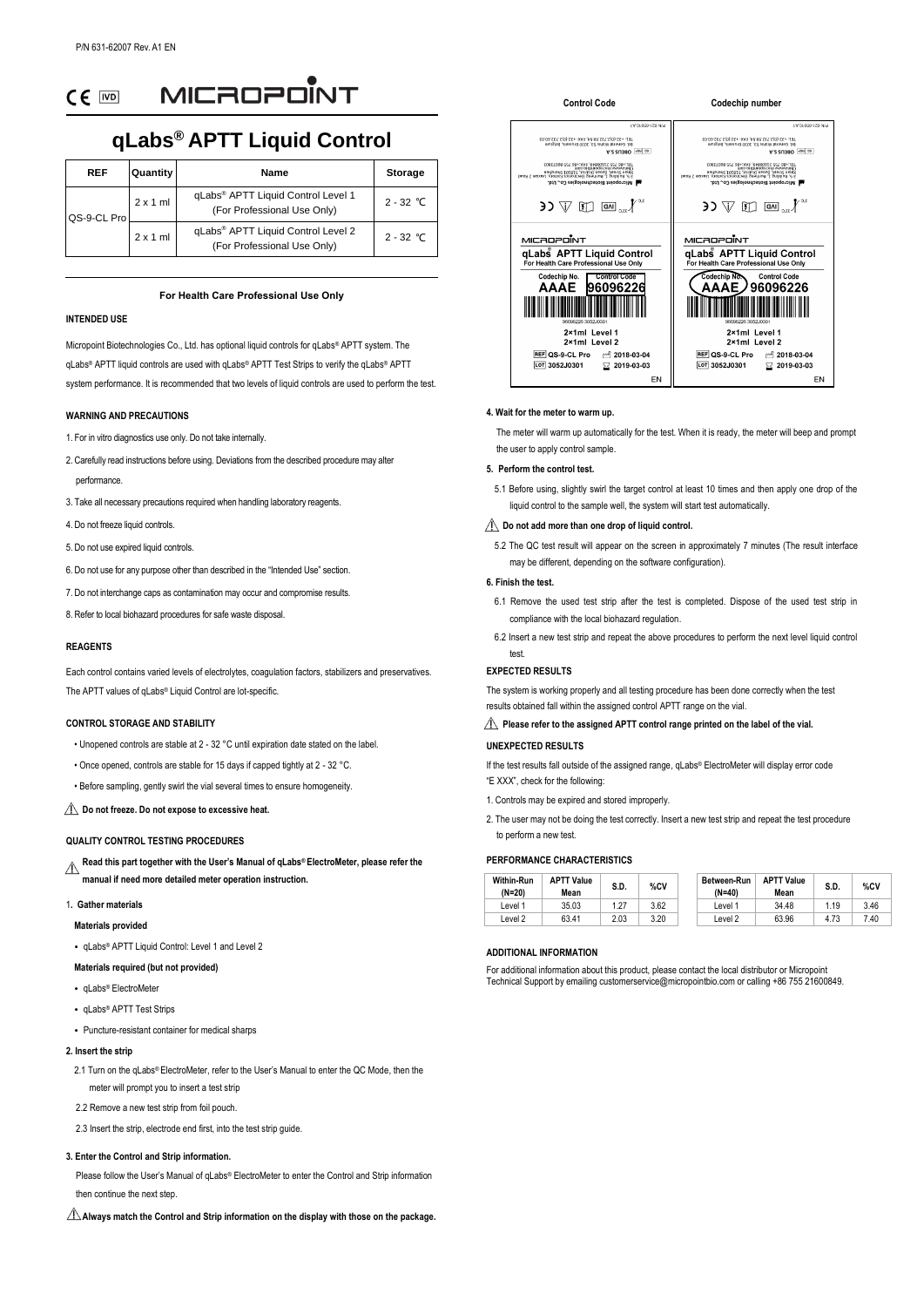MICROPOINT  $CF$  [vo]

# **qLabs® APTT Liquid Control**

| <b>REF</b>  | <b>Quantity</b> | Name                                                                          | Storage     |
|-------------|-----------------|-------------------------------------------------------------------------------|-------------|
| QS-9-CL Pro | $2 \times 1$ ml | gLabs <sup>®</sup> APTT Liquid Control Level 1<br>(For Professional Use Only) | $2 - 32$ °C |
|             | $2 \times 1$ ml | gLabs <sup>®</sup> APTT Liquid Control Level 2<br>(For Professional Use Only) | $2 - 32$ °C |

## **For Health Care Professional Use Only**

### **INTENDED USE**

Micropoint Biotechnologies Co., Ltd. has optional liquid controls for qLabs® APTT system. The qLabs® APTT liquid controls are used with qLabs® APTT Test Strips to verify the qLabs® APTT system performance. It is recommended that two levels of liquid controls are used to perform the test

### **WARNING AND PRECAUTIONS**

- 1. For in vitro diagnostics use only. Do not take internally.
- 2. Carefully read instructions before using. Deviations from the described procedure may alter performance.
- 3. Take all necessary precautions required when handling laboratory reagents.
- 4. Do not freeze liquid controls.
- 5. Do not use expired liquid controls.
- 6. Do not use for any purpose other than described in the "Intended Use" section.
- 7. Do not interchange caps as contamination may occur and compromise results.
- 8. Refer to local biohazard procedures for safe waste disposal.

### **REAGENTS**

Each control contains varied levels of electrolytes, coagulation factors, stabilizers and preservatives. The APTT values of qLabs® Liquid Control are lot-specific.

### **CONTROL STORAGE AND STABILITY**

- Unopened controls are stable at 2 32 ° C until expiration date stated on the label.
- Once opened, controls are stable for 15 days if capped tightly at 2 32 ° C.
- Before sampling, gently swirl the vial several times to ensure homogeneity.

### **Do not freeze. Do not expose to excessive heat.**

# **QUALITY CONTROL TESTING PROCEDURES**

**Read this part together with the User's Manual of qLabs® ElectroMeter, please refer the**   $\wedge$ **manual if need more detailed meter operation instruction.**

#### 1**. Gather materials**

- **Materials provided**
- qLabs<sup>®</sup> APTT Liquid Control: Level 1 and Level 2

# **Materials required (but not provided)**

- gLabs® ElectroMete
- gLabs® APTT Test Strips
- Puncture-resistant container for medical sharps

# **2. Insert the strip**

- 2.1 Turn on the qLabs® ElectroMeter, refer to the User's Manual to enter the QC Mode, then the meter will prompt you to insert a test strip
- 2.2 Remove a new test strip from foil pouch.
- 2.3 Insert the strip, electrode end first, into the test strip guide.

### **3. Enter the Control and Strip information.**

Please follow the User's Manual of qLabs® ElectroMeter to enter the Control and Strip information then continue the next step.

**Always match the Control and Strip information on the display with those on the package.**



#### **4. Wait for the meter to warm up.**

 The meter will warm up automatically for the test. When it is ready, the meter will beep and prompt the user to apply control sample.

### **5. Perform the control test.**

5.1 Before using, slightly swirl the target control at least 10 times and then apply one drop of the liquid control to the sample well, the system will start test automatically.

#### $\triangle$  Do not add more than one drop of liquid control.

5.2 The QC test result will appear on the screen in approximately 7 minutes (The result interface may be different, depending on the software configuration).

### **6. Finish the test.**

- 6.1 Remove the used test strip after the test is completed. Dispose of the used test strip in compliance with the local biohazard regulation.
- 6.2 Insert a new test strip and repeat the above procedures to perform the next level liquid control test.

### **EXPECTED RESULTS**

The system is working properly and all testing procedure has been done correctly when the test results obtained fall within the assigned control APTT range on the vial.

# **Please refer to the assigned APTT control range printed on the label of the vial.**

# **UNEXPECTED RESULTS**

If the test results fall outside of the assigned range, qLabs® ElectroMeter will display error code "E XXX", check for the following:

- 1. Controls may be expired and stored improperly.
- 2. The user may not be doing the test correctly. Insert a new test strip and repeat the test procedure to perform a new test.

# **PERFORMANCE CHARACTERISTICS**

| <b>Within-Run</b><br>$(N=20)$ | <b>APTT Value</b><br>Mean | S.D. | %CV  | Between-Run<br>$(N=40)$ | <b>APTT Value</b><br>Mean | S.D. | %CV  |
|-------------------------------|---------------------------|------|------|-------------------------|---------------------------|------|------|
| evel 1                        | 35.03                     | 1.27 | 3.62 | evel 1                  | 34.48                     | 1.19 | 3.46 |
| evel 2                        | 63.41                     | 2.03 | 3.20 | evel 2                  | 63.96                     | 4.73 | 7.40 |

#### **ADDITIONAL INFORMATION**

For additional information about this product, please contact the local distributor or Micropoint Technical Support by emailing customerservice@micropointbio.com or calling +86 755 21600849.